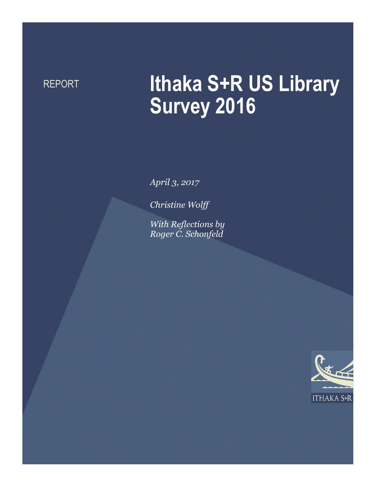# REPORT **Ithaka S+R US Library Survey 2016**

*April 3, 2017*

*Christine Wolff*

*With Reflections by Roger C. Schonfeld*

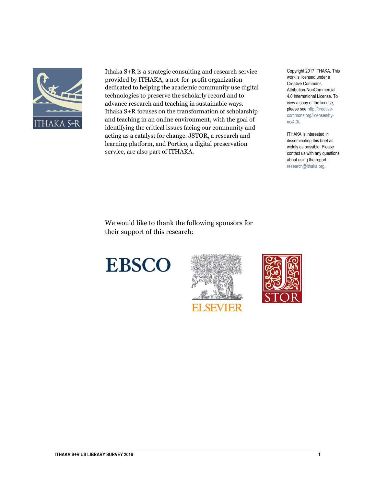

Ithaka S+R is a strategic consulting and research service provided by ITHAKA, a not-for-profit organization dedicated to helping the academic community use digital technologies to preserve the scholarly record and to advance research and teaching in sustainable ways. Ithaka S+R focuses on the transformation of scholarship and teaching in an online environment, with the goal of identifying the critical issues facing our community and acting as a catalyst for change. JSTOR, a research and learning platform, and Portico, a digital preservation service, are also part of ITHAKA.

Copyright 2017 ITHAKA. This work is licensed under a Creative Commons Attribution-NonCommercial 4.0 International License. To view a copy of the license, please see http://creativecommons.org/licenses/bync/4.0/.

ITHAKA is interested in disseminating this brief as widely as possible. Please contact us with any questions about using the report: research@ithaka.org.

We would like to thank the following sponsors for their support of this research:





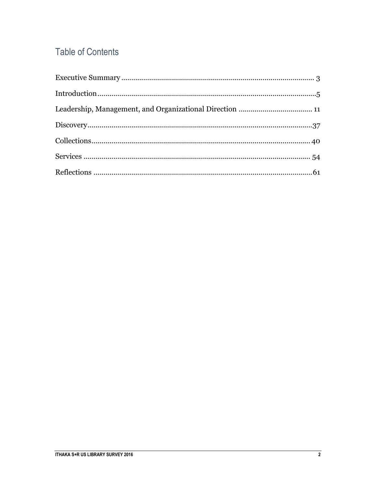### **Table of Contents**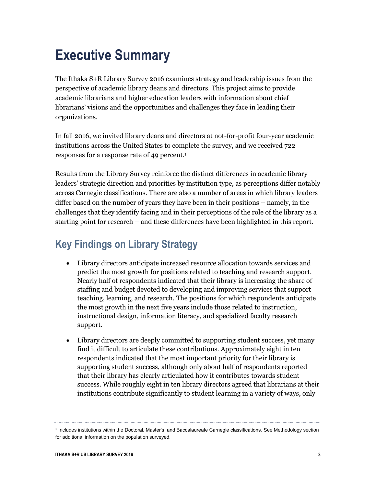## <span id="page-3-0"></span>**Executive Summary**

The Ithaka S+R Library Survey 2016 examines strategy and leadership issues from the perspective of academic library deans and directors. This project aims to provide academic librarians and higher education leaders with information about chief librarians' visions and the opportunities and challenges they face in leading their organizations.

In fall 2016, we invited library deans and directors at not-for-profit four-year academic institutions across the United States to complete the survey, and we received 722 responses for a response rate of 49 percent. 1

Results from the Library Survey reinforce the distinct differences in academic library leaders' strategic direction and priorities by institution type, as perceptions differ notably across Carnegie classifications. There are also a number of areas in which library leaders differ based on the number of years they have been in their positions – namely, in the challenges that they identify facing and in their perceptions of the role of the library as a starting point for research – and these differences have been highlighted in this report.

### **Key Findings on Library Strategy**

- Library directors anticipate increased resource allocation towards services and predict the most growth for positions related to teaching and research support. Nearly half of respondents indicated that their library is increasing the share of staffing and budget devoted to developing and improving services that support teaching, learning, and research. The positions for which respondents anticipate the most growth in the next five years include those related to instruction, instructional design, information literacy, and specialized faculty research support.
- Library directors are deeply committed to supporting student success, yet many find it difficult to articulate these contributions. Approximately eight in ten respondents indicated that the most important priority for their library is supporting student success, although only about half of respondents reported that their library has clearly articulated how it contributes towards student success. While roughly eight in ten library directors agreed that librarians at their institutions contribute significantly to student learning in a variety of ways, only

<sup>&</sup>lt;sup>1</sup> Includes institutions within the Doctoral, Master's, and Baccalaureate Carnegie classifications. See Methodology section for additional information on the population surveyed.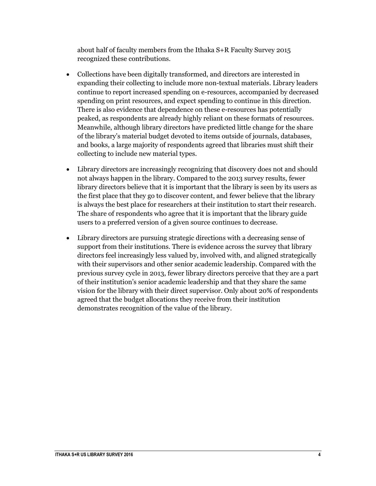about half of faculty members from the Ithaka S+R Faculty Survey 2015 recognized these contributions.

- Collections have been digitally transformed, and directors are interested in expanding their collecting to include more non-textual materials. Library leaders continue to report increased spending on e-resources, accompanied by decreased spending on print resources, and expect spending to continue in this direction. There is also evidence that dependence on these e-resources has potentially peaked, as respondents are already highly reliant on these formats of resources. Meanwhile, although library directors have predicted little change for the share of the library's material budget devoted to items outside of journals, databases, and books, a large majority of respondents agreed that libraries must shift their collecting to include new material types.
- Library directors are increasingly recognizing that discovery does not and should not always happen in the library. Compared to the 2013 survey results, fewer library directors believe that it is important that the library is seen by its users as the first place that they go to discover content, and fewer believe that the library is always the best place for researchers at their institution to start their research. The share of respondents who agree that it is important that the library guide users to a preferred version of a given source continues to decrease.
- Library directors are pursuing strategic directions with a decreasing sense of support from their institutions. There is evidence across the survey that library directors feel increasingly less valued by, involved with, and aligned strategically with their supervisors and other senior academic leadership. Compared with the previous survey cycle in 2013, fewer library directors perceive that they are a part of their institution's senior academic leadership and that they share the same vision for the library with their direct supervisor. Only about 20% of respondents agreed that the budget allocations they receive from their institution demonstrates recognition of the value of the library.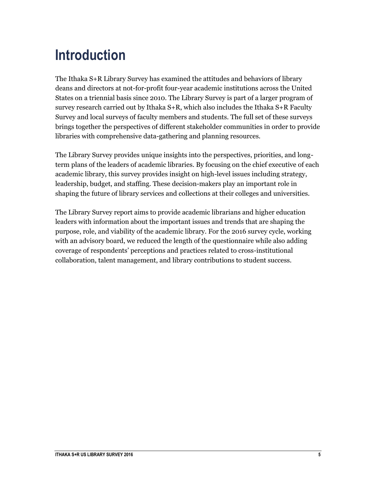## <span id="page-5-0"></span>**Introduction**

The Ithaka S+R Library Survey has examined the attitudes and behaviors of library deans and directors at not-for-profit four-year academic institutions across the United States on a triennial basis since 2010. The Library Survey is part of a larger program of survey research carried out by Ithaka S+R, which also includes the Ithaka S+R Faculty Survey and local surveys of faculty members and students. The full set of these surveys brings together the perspectives of different stakeholder communities in order to provide libraries with comprehensive data-gathering and planning resources.

The Library Survey provides unique insights into the perspectives, priorities, and longterm plans of the leaders of academic libraries. By focusing on the chief executive of each academic library, this survey provides insight on high-level issues including strategy, leadership, budget, and staffing. These decision-makers play an important role in shaping the future of library services and collections at their colleges and universities.

The Library Survey report aims to provide academic librarians and higher education leaders with information about the important issues and trends that are shaping the purpose, role, and viability of the academic library. For the 2016 survey cycle, working with an advisory board, we reduced the length of the questionnaire while also adding coverage of respondents' perceptions and practices related to cross-institutional collaboration, talent management, and library contributions to student success.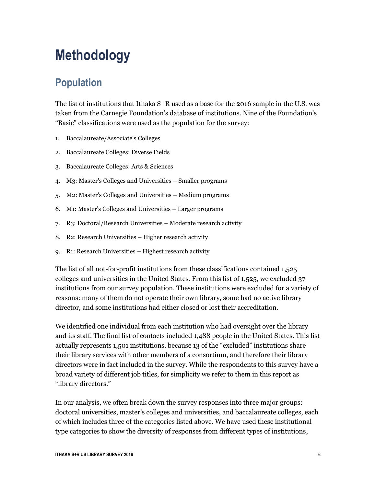## **Methodology**

### **Population**

The list of institutions that Ithaka S+R used as a base for the 2016 sample in the U.S. was taken from the Carnegie Foundation's database of institutions. Nine of the Foundation's "Basic" classifications were used as the population for the survey:

- 1. Baccalaureate/Associate's Colleges
- 2. Baccalaureate Colleges: Diverse Fields
- 3. Baccalaureate Colleges: Arts & Sciences
- 4. M3: Master's Colleges and Universities Smaller programs
- 5. M2: Master's Colleges and Universities Medium programs
- 6. M1: Master's Colleges and Universities Larger programs
- 7. R3: Doctoral/Research Universities Moderate research activity
- 8. R2: Research Universities Higher research activity
- 9. R1: Research Universities Highest research activity

The list of all not-for-profit institutions from these classifications contained 1,525 colleges and universities in the United States. From this list of 1,525, we excluded 37 institutions from our survey population. These institutions were excluded for a variety of reasons: many of them do not operate their own library, some had no active library director, and some institutions had either closed or lost their accreditation.

We identified one individual from each institution who had oversight over the library and its staff. The final list of contacts included 1,488 people in the United States. This list actually represents 1,501 institutions, because 13 of the "excluded" institutions share their library services with other members of a consortium, and therefore their library directors were in fact included in the survey. While the respondents to this survey have a broad variety of different job titles, for simplicity we refer to them in this report as "library directors."

In our analysis, we often break down the survey responses into three major groups: doctoral universities, master's colleges and universities, and baccalaureate colleges, each of which includes three of the categories listed above. We have used these institutional type categories to show the diversity of responses from different types of institutions,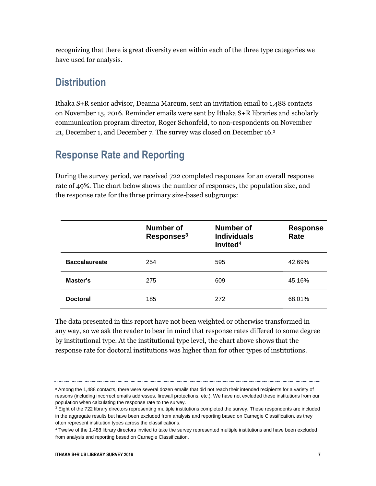recognizing that there is great diversity even within each of the three type categories we have used for analysis.

### **Distribution**

Ithaka S+R senior advisor, Deanna Marcum, sent an invitation email to 1,488 contacts on November 15, 2016. Reminder emails were sent by Ithaka S+R libraries and scholarly communication program director, Roger Schonfeld, to non-respondents on November 21, December 1, and December 7. The survey was closed on December 16. 2

### **Response Rate and Reporting**

During the survey period, we received 722 completed responses for an overall response rate of 49%. The chart below shows the number of responses, the population size, and the response rate for the three primary size-based subgroups:

|                      | Number of<br>Responses <sup>3</sup> | Number of<br><b>Individuals</b><br>Invited <sup>4</sup> | <b>Response</b><br>Rate |
|----------------------|-------------------------------------|---------------------------------------------------------|-------------------------|
| <b>Baccalaureate</b> | 254                                 | 595                                                     | 42.69%                  |
| Master's             | 275                                 | 609                                                     | 45.16%                  |
| <b>Doctoral</b>      | 185                                 | 272                                                     | 68.01%                  |

The data presented in this report have not been weighted or otherwise transformed in any way, so we ask the reader to bear in mind that response rates differed to some degree by institutional type. At the institutional type level, the chart above shows that the response rate for doctoral institutions was higher than for other types of institutions.

<sup>2</sup> Among the 1,488 contacts, there were several dozen emails that did not reach their intended recipients for a variety of reasons (including incorrect emails addresses, firewall protections, etc.). We have not excluded these institutions from our population when calculating the response rate to the survey.

 $3$  Eight of the 722 library directors representing multiple institutions completed the survey. These respondents are included in the aggregate results but have been excluded from analysis and reporting based on Carnegie Classification, as they often represent institution types across the classifications.

<sup>4</sup> Twelve of the 1,488 library directors invited to take the survey represented multiple institutions and have been excluded from analysis and reporting based on Carnegie Classification.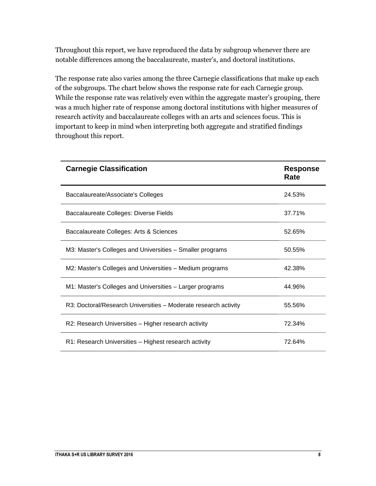Throughout this report, we have reproduced the data by subgroup whenever there are notable differences among the baccalaureate, master's, and doctoral institutions.

The response rate also varies among the three Carnegie classifications that make up each of the subgroups. The chart below shows the response rate for each Carnegie group. While the response rate was relatively even within the aggregate master's grouping, there was a much higher rate of response among doctoral institutions with higher measures of research activity and baccalaureate colleges with an arts and sciences focus. This is important to keep in mind when interpreting both aggregate and stratified findings throughout this report.

| <b>Carnegie Classification</b>                                  | <b>Response</b><br>Rate |
|-----------------------------------------------------------------|-------------------------|
| Baccalaureate/Associate's Colleges                              | 24.53%                  |
| Baccalaureate Colleges: Diverse Fields                          | 37.71%                  |
| Baccalaureate Colleges: Arts & Sciences                         | 52.65%                  |
| M3: Master's Colleges and Universities – Smaller programs       | 50.55%                  |
| M2: Master's Colleges and Universities - Medium programs        | 42.38%                  |
| M1: Master's Colleges and Universities - Larger programs        | 44.96%                  |
| R3: Doctoral/Research Universities - Moderate research activity | 55.56%                  |
| R2: Research Universities - Higher research activity            | 72.34%                  |
| R1: Research Universities - Highest research activity           | 72.64%                  |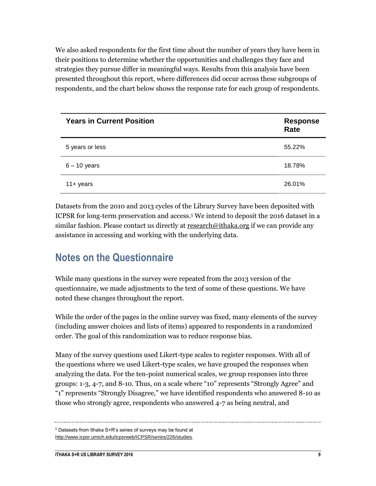We also asked respondents for the first time about the number of years they have been in their positions to determine whether the opportunities and challenges they face and strategies they pursue differ in meaningful ways. Results from this analysis have been presented throughout this report, where differences did occur across these subgroups of respondents, and the chart below shows the response rate for each group of respondents.

| <b>Years in Current Position</b> | <b>Response</b><br>Rate |
|----------------------------------|-------------------------|
| 5 years or less                  | 55.22%                  |
| $6 - 10$ years                   | 18.78%                  |
| $11 +$ years                     | 26.01%                  |

Datasets from the 2010 and 2013 cycles of the Library Survey have been deposited with ICPSR for long-term preservation and access.<sup>5</sup> We intend to deposit the 2016 dataset in a similar fashion. Please contact us directly at [research@ithaka.org](mailto:research@ithaka.org) if we can provide any assistance in accessing and working with the underlying data.

### **Notes on the Questionnaire**

While many questions in the survey were repeated from the 2013 version of the questionnaire, we made adjustments to the text of some of these questions. We have noted these changes throughout the report.

While the order of the pages in the online survey was fixed, many elements of the survey (including answer choices and lists of items) appeared to respondents in a randomized order. The goal of this randomization was to reduce response bias.

Many of the survey questions used Likert-type scales to register responses. With all of the questions where we used Likert-type scales, we have grouped the responses when analyzing the data. For the ten-point numerical scales, we group responses into three groups: 1-3, 4-7, and 8-10. Thus, on a scale where "10" represents "Strongly Agree" and "1" represents "Strongly Disagree," we have identified respondents who answered 8-10 as those who strongly agree, respondents who answered 4-7 as being neutral, and

<sup>5</sup> Datasets from Ithaka S+R's series of surveys may be found at [http://www.icpsr.umich.edu/icpsrweb/ICPSR/series/226/studies.](http://www.icpsr.umich.edu/icpsrweb/ICPSR/series/226/studies)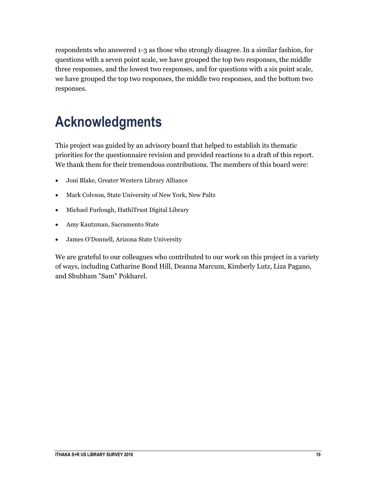respondents who answered 1-3 as those who strongly disagree. In a similar fashion, for questions with a seven point scale, we have grouped the top two responses, the middle three responses, and the lowest two responses, and for questions with a six point scale, we have grouped the top two responses, the middle two responses, and the bottom two responses.

## **Acknowledgments**

This project was guided by an advisory board that helped to establish its thematic priorities for the questionnaire revision and provided reactions to a draft of this report. We thank them for their tremendous contributions. The members of this board were:

- Joni Blake, Greater Western Library Alliance
- Mark Colvson, State University of New York, New Paltz
- Michael Furlough, HathiTrust Digital Library
- Amy Kautzman, Sacramento State
- James O'Donnell, Arizona State University

We are grateful to our colleagues who contributed to our work on this project in a variety of ways, including Catharine Bond Hill, Deanna Marcum, Kimberly Lutz, Liza Pagano, and Shubham "Sam" Pokharel.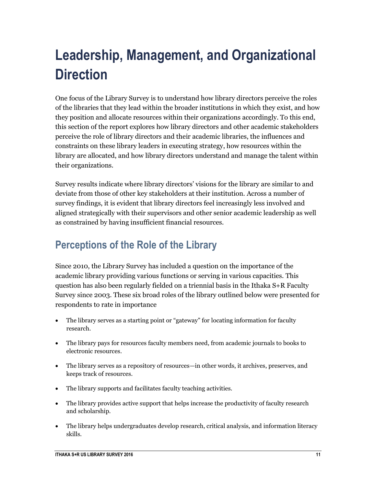## <span id="page-11-0"></span>**Leadership, Management, and Organizational Direction**

One focus of the Library Survey is to understand how library directors perceive the roles of the libraries that they lead within the broader institutions in which they exist, and how they position and allocate resources within their organizations accordingly. To this end, this section of the report explores how library directors and other academic stakeholders perceive the role of library directors and their academic libraries, the influences and constraints on these library leaders in executing strategy, how resources within the library are allocated, and how library directors understand and manage the talent within their organizations.

Survey results indicate where library directors' visions for the library are similar to and deviate from those of other key stakeholders at their institution. Across a number of survey findings, it is evident that library directors feel increasingly less involved and aligned strategically with their supervisors and other senior academic leadership as well as constrained by having insufficient financial resources.

### **Perceptions of the Role of the Library**

Since 2010, the Library Survey has included a question on the importance of the academic library providing various functions or serving in various capacities. This question has also been regularly fielded on a triennial basis in the Ithaka S+R Faculty Survey since 2003. These six broad roles of the library outlined below were presented for respondents to rate in importance

- The library serves as a starting point or "gateway" for locating information for faculty research.
- The library pays for resources faculty members need, from academic journals to books to electronic resources.
- The library serves as a repository of resources—in other words, it archives, preserves, and keeps track of resources.
- The library supports and facilitates faculty teaching activities.
- The library provides active support that helps increase the productivity of faculty research and scholarship.
- The library helps undergraduates develop research, critical analysis, and information literacy skills.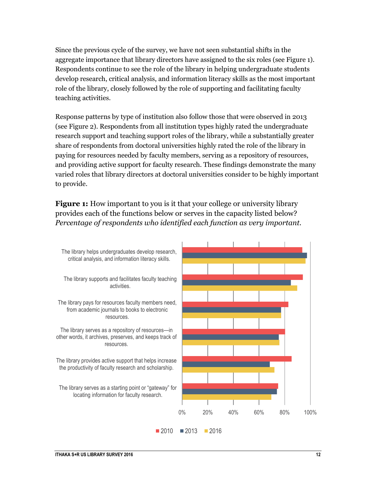Since the previous cycle of the survey, we have not seen substantial shifts in the aggregate importance that library directors have assigned to the six roles (see Figure 1). Respondents continue to see the role of the library in helping undergraduate students develop research, critical analysis, and information literacy skills as the most important role of the library, closely followed by the role of supporting and facilitating faculty teaching activities.

Response patterns by type of institution also follow those that were observed in 2013 (see Figure 2). Respondents from all institution types highly rated the undergraduate research support and teaching support roles of the library, while a substantially greater share of respondents from doctoral universities highly rated the role of the library in paying for resources needed by faculty members, serving as a repository of resources, and providing active support for faculty research. These findings demonstrate the many varied roles that library directors at doctoral universities consider to be highly important to provide.

**Figure 1:** How important to you is it that your college or university library provides each of the functions below or serves in the capacity listed below? *Percentage of respondents who identified each function as very important.*

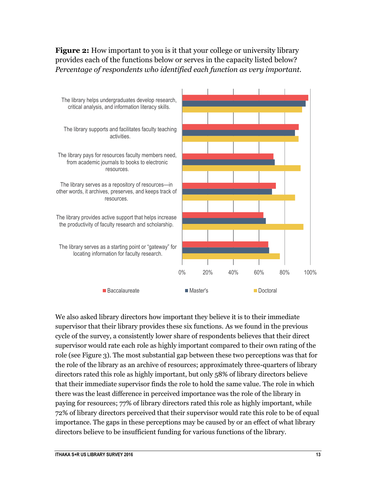**Figure 2:** How important to you is it that your college or university library provides each of the functions below or serves in the capacity listed below? *Percentage of respondents who identified each function as very important.*



We also asked library directors how important they believe it is to their immediate supervisor that their library provides these six functions. As we found in the previous cycle of the survey, a consistently lower share of respondents believes that their direct supervisor would rate each role as highly important compared to their own rating of the role (see Figure 3). The most substantial gap between these two perceptions was that for the role of the library as an archive of resources; approximately three-quarters of library directors rated this role as highly important, but only 58% of library directors believe that their immediate supervisor finds the role to hold the same value. The role in which there was the least difference in perceived importance was the role of the library in paying for resources; 77% of library directors rated this role as highly important, while 72% of library directors perceived that their supervisor would rate this role to be of equal importance. The gaps in these perceptions may be caused by or an effect of what library directors believe to be insufficient funding for various functions of the library.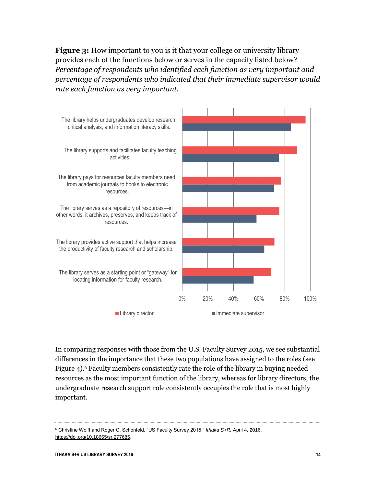**Figure 3:** How important to you is it that your college or university library provides each of the functions below or serves in the capacity listed below? *Percentage of respondents who identified each function as very important and percentage of respondents who indicated that their immediate supervisor would rate each function as very important.*



In comparing responses with those from the U.S. Faculty Survey 2015, we see substantial differences in the importance that these two populations have assigned to the roles (see Figure 4). <sup>6</sup> Faculty members consistently rate the role of the library in buying needed resources as the most important function of the library, whereas for library directors, the undergraduate research support role consistently occupies the role that is most highly important.

<sup>6</sup> Christine Wolff and Roger C. Schonfeld, "US Faculty Survey 2015," *Ithaka S+R,* April 4, 2016, [https://doi.org/10.18665/sr.277685.](https://doi.org/10.18665/sr.277685)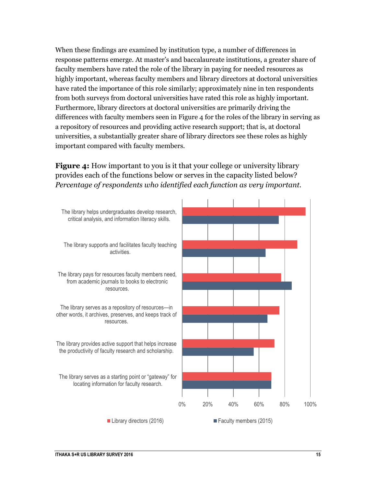When these findings are examined by institution type, a number of differences in response patterns emerge. At master's and baccalaureate institutions, a greater share of faculty members have rated the role of the library in paying for needed resources as highly important, whereas faculty members and library directors at doctoral universities have rated the importance of this role similarly; approximately nine in ten respondents from both surveys from doctoral universities have rated this role as highly important. Furthermore, library directors at doctoral universities are primarily driving the differences with faculty members seen in Figure 4 for the roles of the library in serving as a repository of resources and providing active research support; that is, at doctoral universities, a substantially greater share of library directors see these roles as highly important compared with faculty members.

#### **Figure 4:** How important to you is it that your college or university library provides each of the functions below or serves in the capacity listed below? *Percentage of respondents who identified each function as very important.*

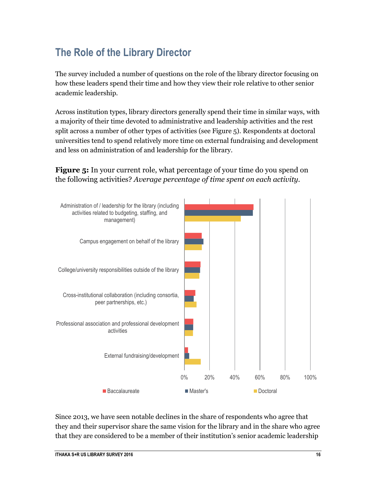## **The Role of the Library Director**

The survey included a number of questions on the role of the library director focusing on how these leaders spend their time and how they view their role relative to other senior academic leadership.

Across institution types, library directors generally spend their time in similar ways, with a majority of their time devoted to administrative and leadership activities and the rest split across a number of other types of activities (see Figure 5). Respondents at doctoral universities tend to spend relatively more time on external fundraising and development and less on administration of and leadership for the library.

**Figure 5:** In your current role, what percentage of your time do you spend on the following activities? *Average percentage of time spent on each activity.*



Since 2013, we have seen notable declines in the share of respondents who agree that they and their supervisor share the same vision for the library and in the share who agree that they are considered to be a member of their institution's senior academic leadership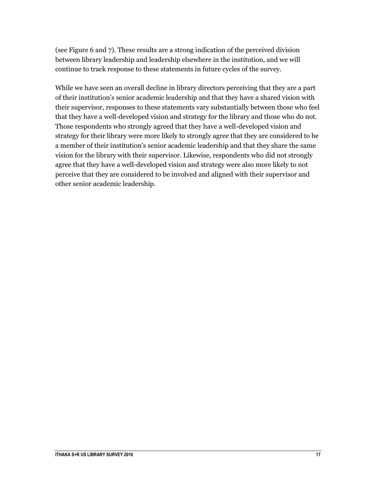(see Figure 6 and 7). These results are a strong indication of the perceived division between library leadership and leadership elsewhere in the institution, and we will continue to track response to these statements in future cycles of the survey.

While we have seen an overall decline in library directors perceiving that they are a part of their institution's senior academic leadership and that they have a shared vision with their supervisor, responses to these statements vary substantially between those who feel that they have a well-developed vision and strategy for the library and those who do not. Those respondents who strongly agreed that they have a well-developed vision and strategy for their library were more likely to strongly agree that they are considered to be a member of their institution's senior academic leadership and that they share the same vision for the library with their supervisor. Likewise, respondents who did not strongly agree that they have a well-developed vision and strategy were also more likely to not perceive that they are considered to be involved and aligned with their supervisor and other senior academic leadership.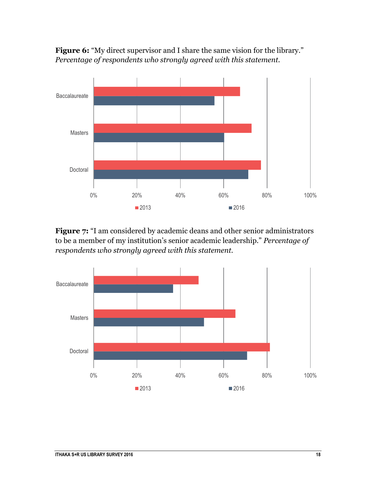



**Figure 7:** "I am considered by academic deans and other senior administrators to be a member of my institution's senior academic leadership." *Percentage of respondents who strongly agreed with this statement.*

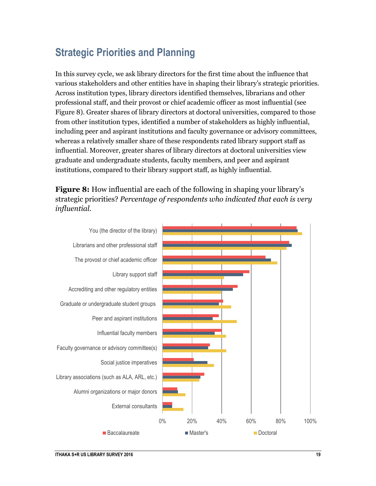### **Strategic Priorities and Planning**

In this survey cycle, we ask library directors for the first time about the influence that various stakeholders and other entities have in shaping their library's strategic priorities. Across institution types, library directors identified themselves, librarians and other professional staff, and their provost or chief academic officer as most influential (see Figure 8). Greater shares of library directors at doctoral universities, compared to those from other institution types, identified a number of stakeholders as highly influential, including peer and aspirant institutions and faculty governance or advisory committees, whereas a relatively smaller share of these respondents rated library support staff as influential. Moreover, greater shares of library directors at doctoral universities view graduate and undergraduate students, faculty members, and peer and aspirant institutions, compared to their library support staff, as highly influential.

**Figure 8:** How influential are each of the following in shaping your library's strategic priorities? *Percentage of respondents who indicated that each is very influential.*

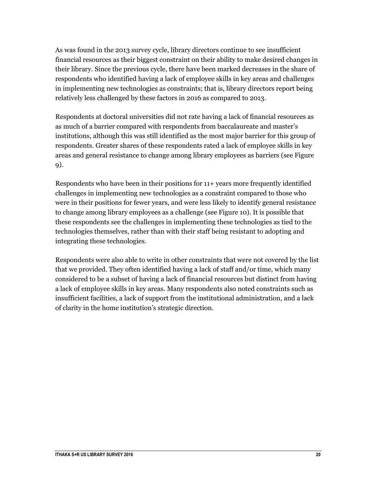As was found in the 2013 survey cycle, library directors continue to see insufficient financial resources as their biggest constraint on their ability to make desired changes in their library. Since the previous cycle, there have been marked decreases in the share of respondents who identified having a lack of employee skills in key areas and challenges in implementing new technologies as constraints; that is, library directors report being relatively less challenged by these factors in 2016 as compared to 2013.

Respondents at doctoral universities did not rate having a lack of financial resources as as much of a barrier compared with respondents from baccalaureate and master's institutions, although this was still identified as the most major barrier for this group of respondents. Greater shares of these respondents rated a lack of employee skills in key areas and general resistance to change among library employees as barriers (see Figure 9).

Respondents who have been in their positions for 11+ years more frequently identified challenges in implementing new technologies as a constraint compared to those who were in their positions for fewer years, and were less likely to identify general resistance to change among library employees as a challenge (see Figure 10). It is possible that these respondents see the challenges in implementing these technologies as tied to the technologies themselves, rather than with their staff being resistant to adopting and integrating these technologies.

Respondents were also able to write in other constraints that were not covered by the list that we provided. They often identified having a lack of staff and/or time, which many considered to be a subset of having a lack of financial resources but distinct from having a lack of employee skills in key areas. Many respondents also noted constraints such as insufficient facilities, a lack of support from the institutional administration, and a lack of clarity in the home institution's strategic direction.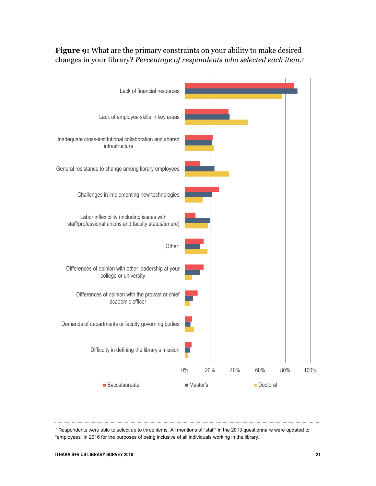

**Figure 9:** What are the primary constraints on your ability to make desired changes in your library? *Percentage of respondents who selected each item.<sup>7</sup>*

 $7$  Respondents were able to select up to three items. All mentions of "staff" in the 2013 questionnaire were updated to "employees" in 2016 for the purposes of being inclusive of all individuals working in the library.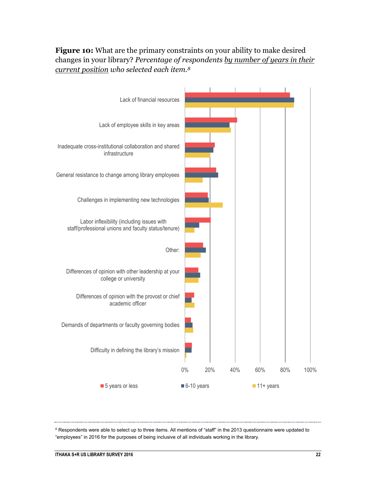**Figure 10:** What are the primary constraints on your ability to make desired changes in your library? *Percentage of respondents by number of years in their current position who selected each item.<sup>8</sup>*



<sup>8</sup> Respondents were able to select up to three items. All mentions of "staff" in the 2013 questionnaire were updated to "employees" in 2016 for the purposes of being inclusive of all individuals working in the library.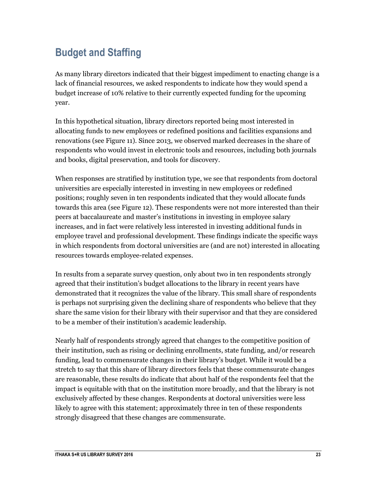## **Budget and Staffing**

As many library directors indicated that their biggest impediment to enacting change is a lack of financial resources, we asked respondents to indicate how they would spend a budget increase of 10% relative to their currently expected funding for the upcoming year.

In this hypothetical situation, library directors reported being most interested in allocating funds to new employees or redefined positions and facilities expansions and renovations (see Figure 11). Since 2013, we observed marked decreases in the share of respondents who would invest in electronic tools and resources, including both journals and books, digital preservation, and tools for discovery.

When responses are stratified by institution type, we see that respondents from doctoral universities are especially interested in investing in new employees or redefined positions; roughly seven in ten respondents indicated that they would allocate funds towards this area (see Figure 12). These respondents were not more interested than their peers at baccalaureate and master's institutions in investing in employee salary increases, and in fact were relatively less interested in investing additional funds in employee travel and professional development. These findings indicate the specific ways in which respondents from doctoral universities are (and are not) interested in allocating resources towards employee-related expenses.

In results from a separate survey question, only about two in ten respondents strongly agreed that their institution's budget allocations to the library in recent years have demonstrated that it recognizes the value of the library. This small share of respondents is perhaps not surprising given the declining share of respondents who believe that they share the same vision for their library with their supervisor and that they are considered to be a member of their institution's academic leadership.

Nearly half of respondents strongly agreed that changes to the competitive position of their institution, such as rising or declining enrollments, state funding, and/or research funding, lead to commensurate changes in their library's budget. While it would be a stretch to say that this share of library directors feels that these commensurate changes are reasonable, these results do indicate that about half of the respondents feel that the impact is equitable with that on the institution more broadly, and that the library is not exclusively affected by these changes. Respondents at doctoral universities were less likely to agree with this statement; approximately three in ten of these respondents strongly disagreed that these changes are commensurate.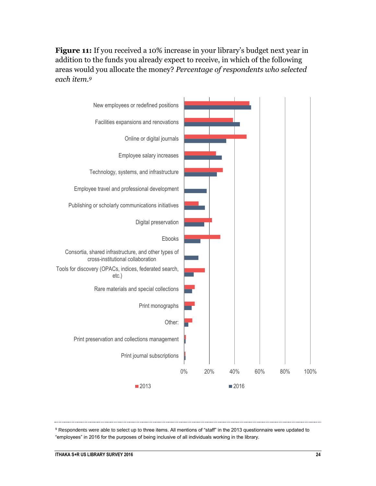**Figure 11:** If you received a 10% increase in your library's budget next year in addition to the funds you already expect to receive, in which of the following areas would you allocate the money? *Percentage of respondents who selected each item.<sup>9</sup>*



<sup>9</sup> Respondents were able to select up to three items. All mentions of "staff" in the 2013 questionnaire were updated to "employees" in 2016 for the purposes of being inclusive of all individuals working in the library.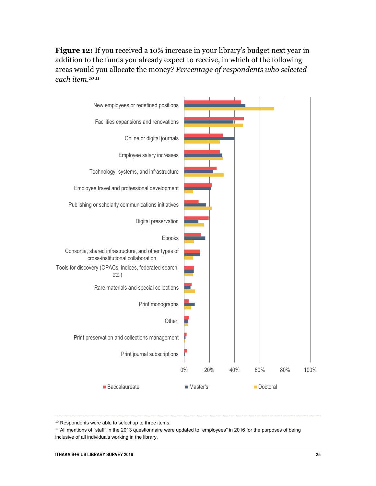**Figure 12:** If you received a 10% increase in your library's budget next year in addition to the funds you already expect to receive, in which of the following areas would you allocate the money? *Percentage of respondents who selected each item.<sup>10</sup> <sup>11</sup>*



<sup>10</sup> Respondents were able to select up to three items.

<sup>11</sup> All mentions of "staff" in the 2013 questionnaire were updated to "employees" in 2016 for the purposes of being inclusive of all individuals working in the library.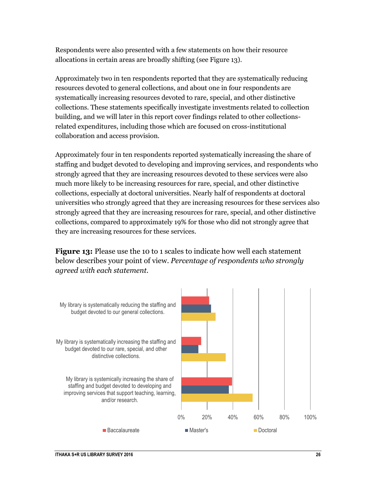Respondents were also presented with a few statements on how their resource allocations in certain areas are broadly shifting (see Figure 13).

Approximately two in ten respondents reported that they are systematically reducing resources devoted to general collections, and about one in four respondents are systematically increasing resources devoted to rare, special, and other distinctive collections. These statements specifically investigate investments related to collection building, and we will later in this report cover findings related to other collectionsrelated expenditures, including those which are focused on cross-institutional collaboration and access provision.

Approximately four in ten respondents reported systematically increasing the share of staffing and budget devoted to developing and improving services, and respondents who strongly agreed that they are increasing resources devoted to these services were also much more likely to be increasing resources for rare, special, and other distinctive collections, especially at doctoral universities. Nearly half of respondents at doctoral universities who strongly agreed that they are increasing resources for these services also strongly agreed that they are increasing resources for rare, special, and other distinctive collections, compared to approximately 19% for those who did not strongly agree that they are increasing resources for these services.

**Figure 13:** Please use the 10 to 1 scales to indicate how well each statement below describes your point of view. *Percentage of respondents who strongly agreed with each statement.*

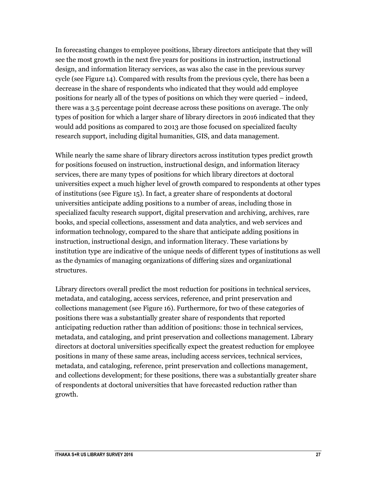In forecasting changes to employee positions, library directors anticipate that they will see the most growth in the next five years for positions in instruction, instructional design, and information literacy services, as was also the case in the previous survey cycle (see Figure 14). Compared with results from the previous cycle, there has been a decrease in the share of respondents who indicated that they would add employee positions for nearly all of the types of positions on which they were queried – indeed, there was a 3.5 percentage point decrease across these positions on average. The only types of position for which a larger share of library directors in 2016 indicated that they would add positions as compared to 2013 are those focused on specialized faculty research support, including digital humanities, GIS, and data management.

While nearly the same share of library directors across institution types predict growth for positions focused on instruction, instructional design, and information literacy services, there are many types of positions for which library directors at doctoral universities expect a much higher level of growth compared to respondents at other types of institutions (see Figure 15). In fact, a greater share of respondents at doctoral universities anticipate adding positions to a number of areas, including those in specialized faculty research support, digital preservation and archiving, archives, rare books, and special collections, assessment and data analytics, and web services and information technology, compared to the share that anticipate adding positions in instruction, instructional design, and information literacy. These variations by institution type are indicative of the unique needs of different types of institutions as well as the dynamics of managing organizations of differing sizes and organizational structures.

Library directors overall predict the most reduction for positions in technical services, metadata, and cataloging, access services, reference, and print preservation and collections management (see Figure 16). Furthermore, for two of these categories of positions there was a substantially greater share of respondents that reported anticipating reduction rather than addition of positions: those in technical services, metadata, and cataloging, and print preservation and collections management. Library directors at doctoral universities specifically expect the greatest reduction for employee positions in many of these same areas, including access services, technical services, metadata, and cataloging, reference, print preservation and collections management, and collections development; for these positions, there was a substantially greater share of respondents at doctoral universities that have forecasted reduction rather than growth.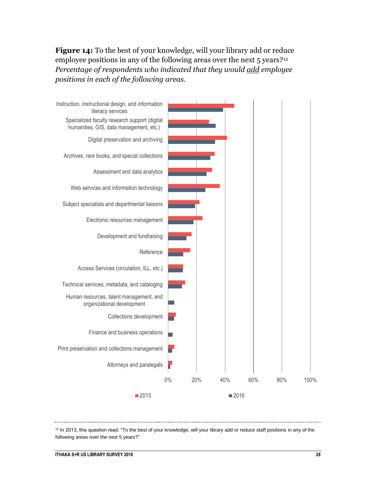**Figure 14:** To the best of your knowledge, will your library add or reduce employee positions in any of the following areas over the next 5 years?<sup>12</sup> *Percentage of respondents who indicated that they would add employee positions in each of the following areas.*



 $12$  In 2013, this question read: "To the best of your knowledge, will your library add or reduce staff positions in any of the following areas over the next 5 years?"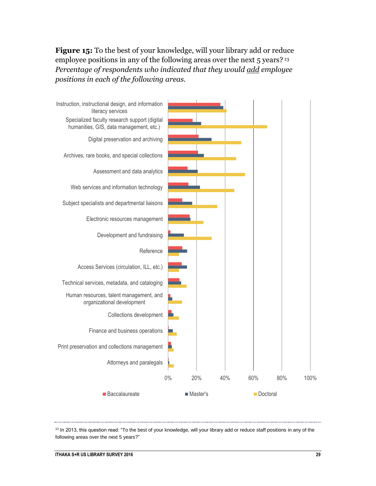**Figure 15:** To the best of your knowledge, will your library add or reduce employee positions in any of the following areas over the next 5 years?<sup>13</sup> *Percentage of respondents who indicated that they would add employee positions in each of the following areas.*



<sup>13</sup> In 2013, this question read: "To the best of your knowledge, will your library add or reduce staff positions in any of the following areas over the next 5 years?"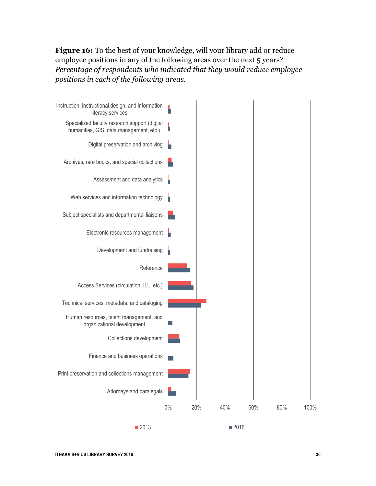**Figure 16:** To the best of your knowledge, will your library add or reduce employee positions in any of the following areas over the next 5 years? *Percentage of respondents who indicated that they would reduce employee positions in each of the following areas.*

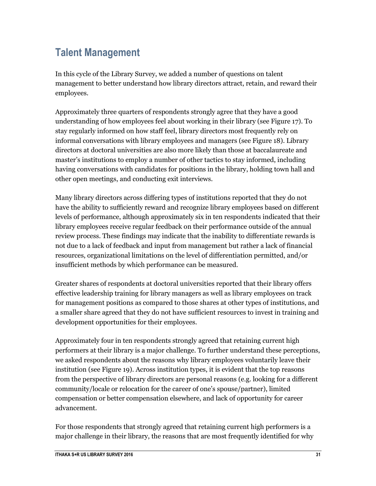## **Talent Management**

In this cycle of the Library Survey, we added a number of questions on talent management to better understand how library directors attract, retain, and reward their employees.

Approximately three quarters of respondents strongly agree that they have a good understanding of how employees feel about working in their library (see Figure 17). To stay regularly informed on how staff feel, library directors most frequently rely on informal conversations with library employees and managers (see Figure 18). Library directors at doctoral universities are also more likely than those at baccalaureate and master's institutions to employ a number of other tactics to stay informed, including having conversations with candidates for positions in the library, holding town hall and other open meetings, and conducting exit interviews.

Many library directors across differing types of institutions reported that they do not have the ability to sufficiently reward and recognize library employees based on different levels of performance, although approximately six in ten respondents indicated that their library employees receive regular feedback on their performance outside of the annual review process. These findings may indicate that the inability to differentiate rewards is not due to a lack of feedback and input from management but rather a lack of financial resources, organizational limitations on the level of differentiation permitted, and/or insufficient methods by which performance can be measured.

Greater shares of respondents at doctoral universities reported that their library offers effective leadership training for library managers as well as library employees on track for management positions as compared to those shares at other types of institutions, and a smaller share agreed that they do not have sufficient resources to invest in training and development opportunities for their employees.

Approximately four in ten respondents strongly agreed that retaining current high performers at their library is a major challenge. To further understand these perceptions, we asked respondents about the reasons why library employees voluntarily leave their institution (see Figure 19). Across institution types, it is evident that the top reasons from the perspective of library directors are personal reasons (e.g. looking for a different community/locale or relocation for the career of one's spouse/partner), limited compensation or better compensation elsewhere, and lack of opportunity for career advancement.

For those respondents that strongly agreed that retaining current high performers is a major challenge in their library, the reasons that are most frequently identified for why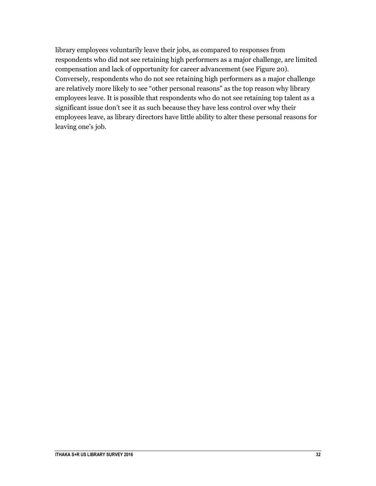library employees voluntarily leave their jobs, as compared to responses from respondents who did not see retaining high performers as a major challenge, are limited compensation and lack of opportunity for career advancement (see Figure 20). Conversely, respondents who do not see retaining high performers as a major challenge are relatively more likely to see "other personal reasons" as the top reason why library employees leave. It is possible that respondents who do not see retaining top talent as a significant issue don't see it as such because they have less control over why their employees leave, as library directors have little ability to alter these personal reasons for leaving one's job.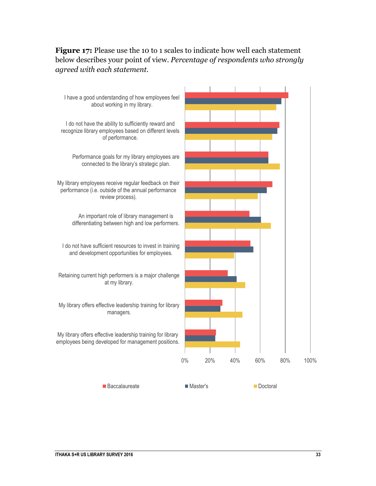#### **Figure 17:** Please use the 10 to 1 scales to indicate how well each statement below describes your point of view. *Percentage of respondents who strongly agreed with each statement.*

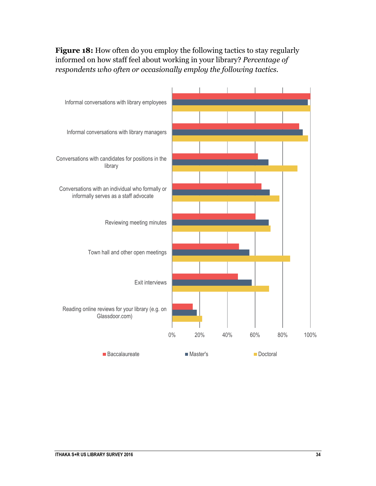**Figure 18:** How often do you employ the following tactics to stay regularly informed on how staff feel about working in your library? *Percentage of respondents who often or occasionally employ the following tactics.*

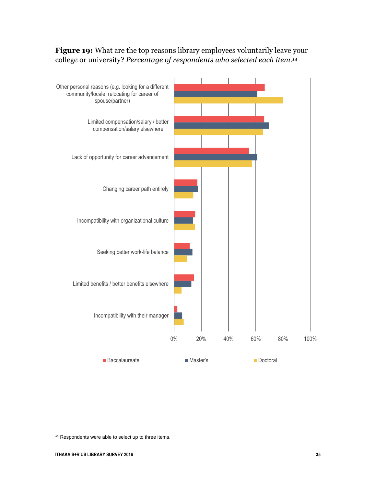



<sup>14</sup> Respondents were able to select up to three items.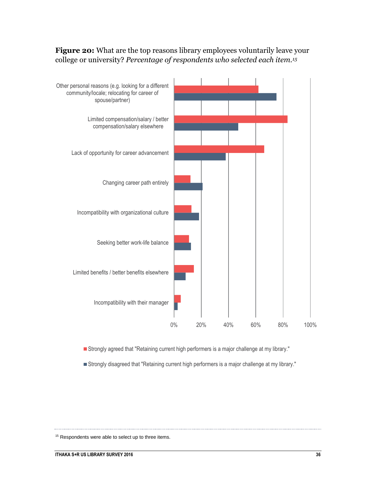#### **Figure 20:** What are the top reasons library employees voluntarily leave your college or university? *Percentage of respondents who selected each item.<sup>15</sup>*



Strongly agreed that "Retaining current high performers is a major challenge at my library."

Strongly disagreed that "Retaining current high performers is a major challenge at my library."

<sup>15</sup> Respondents were able to select up to three items.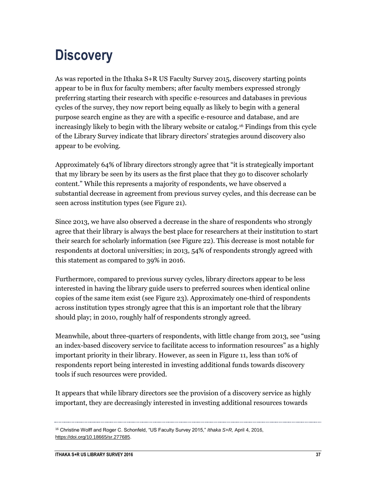## <span id="page-37-0"></span>**Discovery**

As was reported in the Ithaka S+R US Faculty Survey 2015, discovery starting points appear to be in flux for faculty members; after faculty members expressed strongly preferring starting their research with specific e-resources and databases in previous cycles of the survey, they now report being equally as likely to begin with a general purpose search engine as they are with a specific e-resource and database, and are increasingly likely to begin with the library website or catalog.<sup>16</sup> Findings from this cycle of the Library Survey indicate that library directors' strategies around discovery also appear to be evolving.

Approximately 64% of library directors strongly agree that "it is strategically important that my library be seen by its users as the first place that they go to discover scholarly content." While this represents a majority of respondents, we have observed a substantial decrease in agreement from previous survey cycles, and this decrease can be seen across institution types (see Figure 21).

Since 2013, we have also observed a decrease in the share of respondents who strongly agree that their library is always the best place for researchers at their institution to start their search for scholarly information (see Figure 22). This decrease is most notable for respondents at doctoral universities; in 2013, 54% of respondents strongly agreed with this statement as compared to 39% in 2016.

Furthermore, compared to previous survey cycles, library directors appear to be less interested in having the library guide users to preferred sources when identical online copies of the same item exist (see Figure 23). Approximately one-third of respondents across institution types strongly agree that this is an important role that the library should play; in 2010, roughly half of respondents strongly agreed.

Meanwhile, about three-quarters of respondents, with little change from 2013, see "using an index-based discovery service to facilitate access to information resources" as a highly important priority in their library. However, as seen in Figure 11, less than 10% of respondents report being interested in investing additional funds towards discovery tools if such resources were provided.

It appears that while library directors see the provision of a discovery service as highly important, they are decreasingly interested in investing additional resources towards

<sup>16</sup> Christine Wolff and Roger C. Schonfeld, "US Faculty Survey 2015," *Ithaka S+R,* April 4, 2016, [https://doi.org/10.18665/sr.277685.](https://doi.org/10.18665/sr.277685)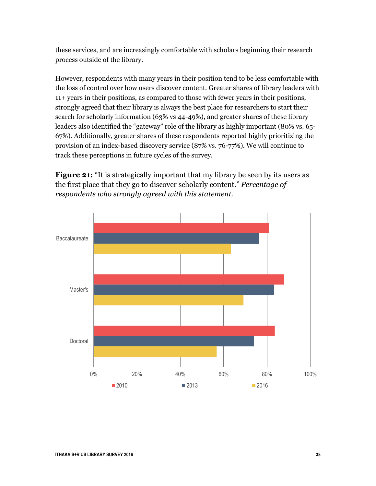these services, and are increasingly comfortable with scholars beginning their research process outside of the library.

However, respondents with many years in their position tend to be less comfortable with the loss of control over how users discover content. Greater shares of library leaders with 11+ years in their positions, as compared to those with fewer years in their positions, strongly agreed that their library is always the best place for researchers to start their search for scholarly information (63% vs 44-49%), and greater shares of these library leaders also identified the "gateway" role of the library as highly important (80% vs. 65- 67%). Additionally, greater shares of these respondents reported highly prioritizing the provision of an index-based discovery service (87% vs. 76-77%). We will continue to track these perceptions in future cycles of the survey.

**Figure 21:** "It is strategically important that my library be seen by its users as the first place that they go to discover scholarly content." *Percentage of respondents who strongly agreed with this statement.*

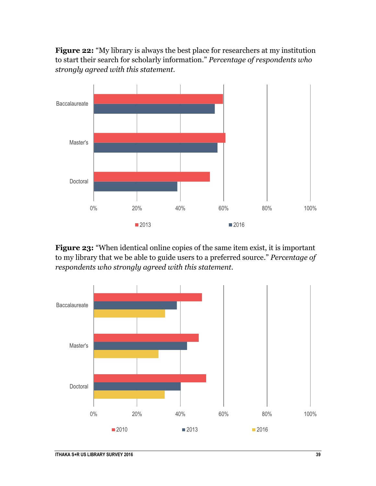**Figure 22:** "My library is always the best place for researchers at my institution to start their search for scholarly information." *Percentage of respondents who strongly agreed with this statement.*



**Figure 23:** "When identical online copies of the same item exist, it is important to my library that we be able to guide users to a preferred source." *Percentage of respondents who strongly agreed with this statement.*

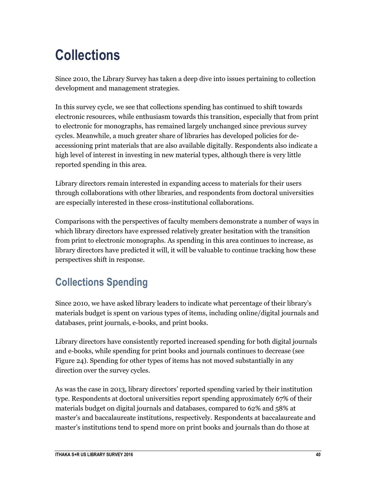## <span id="page-40-0"></span>**Collections**

Since 2010, the Library Survey has taken a deep dive into issues pertaining to collection development and management strategies.

In this survey cycle, we see that collections spending has continued to shift towards electronic resources, while enthusiasm towards this transition, especially that from print to electronic for monographs, has remained largely unchanged since previous survey cycles. Meanwhile, a much greater share of libraries has developed policies for deaccessioning print materials that are also available digitally. Respondents also indicate a high level of interest in investing in new material types, although there is very little reported spending in this area.

Library directors remain interested in expanding access to materials for their users through collaborations with other libraries, and respondents from doctoral universities are especially interested in these cross-institutional collaborations.

Comparisons with the perspectives of faculty members demonstrate a number of ways in which library directors have expressed relatively greater hesitation with the transition from print to electronic monographs. As spending in this area continues to increase, as library directors have predicted it will, it will be valuable to continue tracking how these perspectives shift in response.

## **Collections Spending**

Since 2010, we have asked library leaders to indicate what percentage of their library's materials budget is spent on various types of items, including online/digital journals and databases, print journals, e-books, and print books.

Library directors have consistently reported increased spending for both digital journals and e-books, while spending for print books and journals continues to decrease (see Figure 24). Spending for other types of items has not moved substantially in any direction over the survey cycles.

As was the case in 2013, library directors' reported spending varied by their institution type. Respondents at doctoral universities report spending approximately 67% of their materials budget on digital journals and databases, compared to 62% and 58% at master's and baccalaureate institutions, respectively. Respondents at baccalaureate and master's institutions tend to spend more on print books and journals than do those at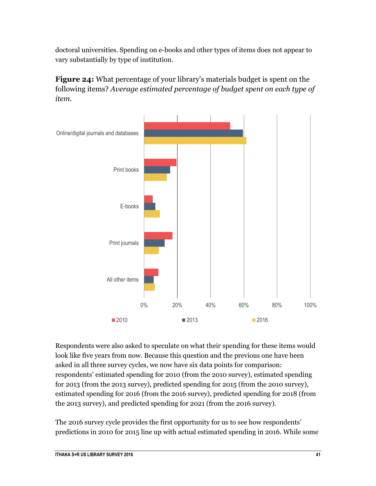doctoral universities. Spending on e-books and other types of items does not appear to vary substantially by type of institution.

**Figure 24:** What percentage of your library's materials budget is spent on the following items? *Average estimated percentage of budget spent on each type of item.*



Respondents were also asked to speculate on what their spending for these items would look like five years from now. Because this question and the previous one have been asked in all three survey cycles, we now have six data points for comparison: respondents' estimated spending for 2010 (from the 2010 survey), estimated spending for 2013 (from the 2013 survey), predicted spending for 2015 (from the 2010 survey), estimated spending for 2016 (from the 2016 survey), predicted spending for 2018 (from the 2013 survey), and predicted spending for 2021 (from the 2016 survey).

The 2016 survey cycle provides the first opportunity for us to see how respondents' predictions in 2010 for 2015 line up with actual estimated spending in 2016. While some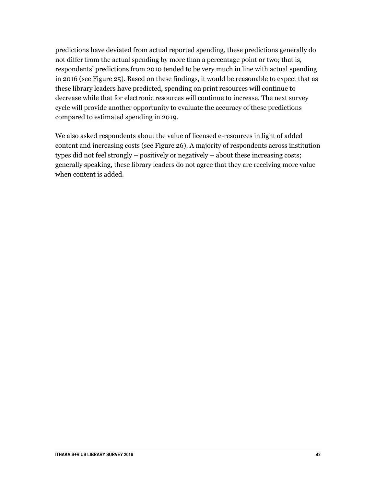predictions have deviated from actual reported spending, these predictions generally do not differ from the actual spending by more than a percentage point or two; that is, respondents' predictions from 2010 tended to be very much in line with actual spending in 2016 (see Figure 25). Based on these findings, it would be reasonable to expect that as these library leaders have predicted, spending on print resources will continue to decrease while that for electronic resources will continue to increase. The next survey cycle will provide another opportunity to evaluate the accuracy of these predictions compared to estimated spending in 2019.

We also asked respondents about the value of licensed e-resources in light of added content and increasing costs (see Figure 26). A majority of respondents across institution types did not feel strongly – positively or negatively – about these increasing costs; generally speaking, these library leaders do not agree that they are receiving more value when content is added.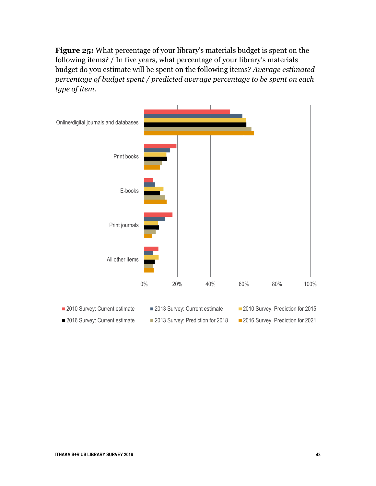**Figure 25:** What percentage of your library's materials budget is spent on the following items? / In five years, what percentage of your library's materials budget do you estimate will be spent on the following items? *Average estimated percentage of budget spent / predicted average percentage to be spent on each type of item.*

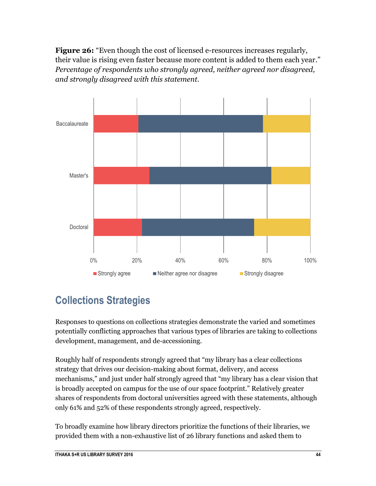**Figure 26:** "Even though the cost of licensed e-resources increases regularly, their value is rising even faster because more content is added to them each year." *Percentage of respondents who strongly agreed, neither agreed nor disagreed, and strongly disagreed with this statement.*



## **Collections Strategies**

Responses to questions on collections strategies demonstrate the varied and sometimes potentially conflicting approaches that various types of libraries are taking to collections development, management, and de-accessioning.

Roughly half of respondents strongly agreed that "my library has a clear collections strategy that drives our decision-making about format, delivery, and access mechanisms," and just under half strongly agreed that "my library has a clear vision that is broadly accepted on campus for the use of our space footprint." Relatively greater shares of respondents from doctoral universities agreed with these statements, although only 61% and 52% of these respondents strongly agreed, respectively.

To broadly examine how library directors prioritize the functions of their libraries, we provided them with a non-exhaustive list of 26 library functions and asked them to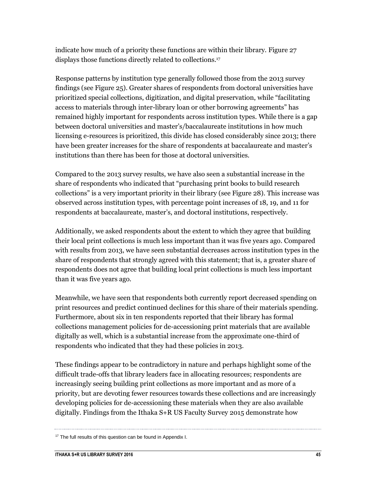indicate how much of a priority these functions are within their library. Figure 27 displays those functions directly related to collections.<sup>17</sup>

Response patterns by institution type generally followed those from the 2013 survey findings (see Figure 25). Greater shares of respondents from doctoral universities have prioritized special collections, digitization, and digital preservation, while "facilitating access to materials through inter-library loan or other borrowing agreements" has remained highly important for respondents across institution types. While there is a gap between doctoral universities and master's/baccalaureate institutions in how much licensing e-resources is prioritized, this divide has closed considerably since 2013; there have been greater increases for the share of respondents at baccalaureate and master's institutions than there has been for those at doctoral universities.

Compared to the 2013 survey results, we have also seen a substantial increase in the share of respondents who indicated that "purchasing print books to build research collections" is a very important priority in their library (see Figure 28). This increase was observed across institution types, with percentage point increases of 18, 19, and 11 for respondents at baccalaureate, master's, and doctoral institutions, respectively.

Additionally, we asked respondents about the extent to which they agree that building their local print collections is much less important than it was five years ago. Compared with results from 2013, we have seen substantial decreases across institution types in the share of respondents that strongly agreed with this statement; that is, a greater share of respondents does not agree that building local print collections is much less important than it was five years ago.

Meanwhile, we have seen that respondents both currently report decreased spending on print resources and predict continued declines for this share of their materials spending. Furthermore, about six in ten respondents reported that their library has formal collections management policies for de-accessioning print materials that are available digitally as well, which is a substantial increase from the approximate one-third of respondents who indicated that they had these policies in 2013.

These findings appear to be contradictory in nature and perhaps highlight some of the difficult trade-offs that library leaders face in allocating resources; respondents are increasingly seeing building print collections as more important and as more of a priority, but are devoting fewer resources towards these collections and are increasingly developing policies for de-accessioning these materials when they are also available digitally. Findings from the Ithaka S+R US Faculty Survey 2015 demonstrate how

<sup>&</sup>lt;sup>17</sup> The full results of this question can be found in Appendix I.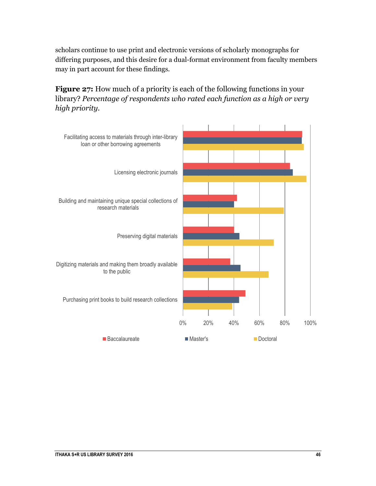scholars continue to use print and electronic versions of scholarly monographs for differing purposes, and this desire for a dual-format environment from faculty members may in part account for these findings.

**Figure 27:** How much of a priority is each of the following functions in your library? *Percentage of respondents who rated each function as a high or very high priority.*

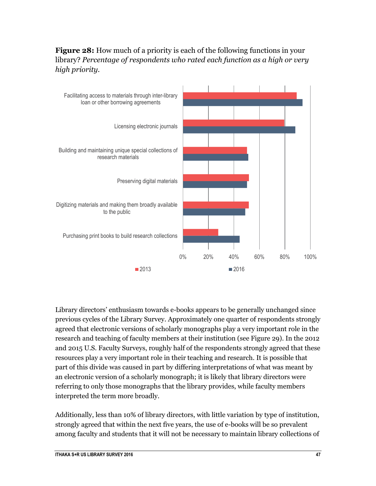



Library directors' enthusiasm towards e-books appears to be generally unchanged since previous cycles of the Library Survey. Approximately one quarter of respondents strongly agreed that electronic versions of scholarly monographs play a very important role in the research and teaching of faculty members at their institution (see Figure 29). In the 2012 and 2015 U.S. Faculty Surveys, roughly half of the respondents strongly agreed that these resources play a very important role in their teaching and research. It is possible that part of this divide was caused in part by differing interpretations of what was meant by an electronic version of a scholarly monograph; it is likely that library directors were referring to only those monographs that the library provides, while faculty members interpreted the term more broadly.

Additionally, less than 10% of library directors, with little variation by type of institution, strongly agreed that within the next five years, the use of e-books will be so prevalent among faculty and students that it will not be necessary to maintain library collections of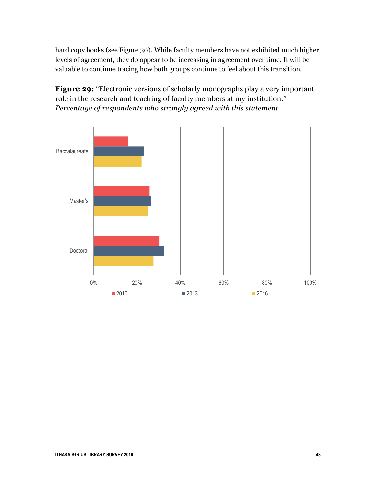hard copy books (see Figure 30). While faculty members have not exhibited much higher levels of agreement, they do appear to be increasing in agreement over time. It will be valuable to continue tracing how both groups continue to feel about this transition.

Figure 29: "Electronic versions of scholarly monographs play a very important role in the research and teaching of faculty members at my institution." *Percentage of respondents who strongly agreed with this statement.*

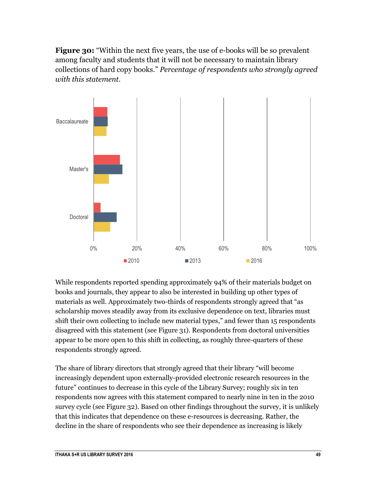**Figure 30:** "Within the next five years, the use of e-books will be so prevalent among faculty and students that it will not be necessary to maintain library collections of hard copy books." *Percentage of respondents who strongly agreed with this statement.*



While respondents reported spending approximately 94% of their materials budget on books and journals, they appear to also be interested in building up other types of materials as well. Approximately two-thirds of respondents strongly agreed that "as scholarship moves steadily away from its exclusive dependence on text, libraries must shift their own collecting to include new material types," and fewer than 15 respondents disagreed with this statement (see Figure 31). Respondents from doctoral universities appear to be more open to this shift in collecting, as roughly three-quarters of these respondents strongly agreed.

The share of library directors that strongly agreed that their library "will become increasingly dependent upon externally-provided electronic research resources in the future" continues to decrease in this cycle of the Library Survey; roughly six in ten respondents now agrees with this statement compared to nearly nine in ten in the 2010 survey cycle (see Figure 32). Based on other findings throughout the survey, it is unlikely that this indicates that dependence on these e-resources is decreasing. Rather, the decline in the share of respondents who see their dependence as increasing is likely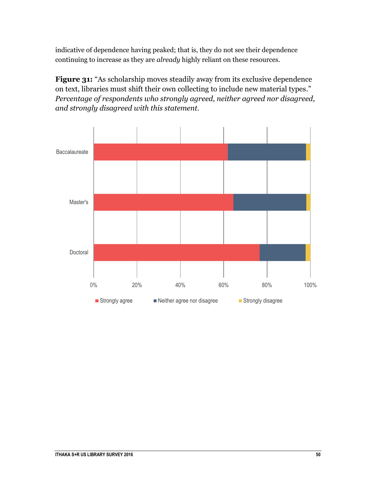indicative of dependence having peaked; that is, they do not see their dependence continuing to increase as they are *already* highly reliant on these resources.

**Figure 31:** "As scholarship moves steadily away from its exclusive dependence on text, libraries must shift their own collecting to include new material types." *Percentage of respondents who strongly agreed, neither agreed nor disagreed, and strongly disagreed with this statement.*

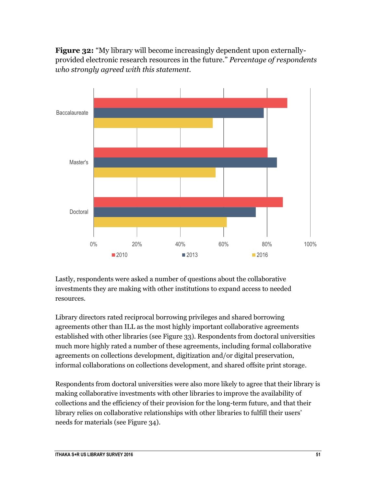**Figure 32:** "My library will become increasingly dependent upon externallyprovided electronic research resources in the future." *Percentage of respondents who strongly agreed with this statement.*



Lastly, respondents were asked a number of questions about the collaborative investments they are making with other institutions to expand access to needed resources.

Library directors rated reciprocal borrowing privileges and shared borrowing agreements other than ILL as the most highly important collaborative agreements established with other libraries (see Figure 33). Respondents from doctoral universities much more highly rated a number of these agreements, including formal collaborative agreements on collections development, digitization and/or digital preservation, informal collaborations on collections development, and shared offsite print storage.

Respondents from doctoral universities were also more likely to agree that their library is making collaborative investments with other libraries to improve the availability of collections and the efficiency of their provision for the long-term future, and that their library relies on collaborative relationships with other libraries to fulfill their users' needs for materials (see Figure 34).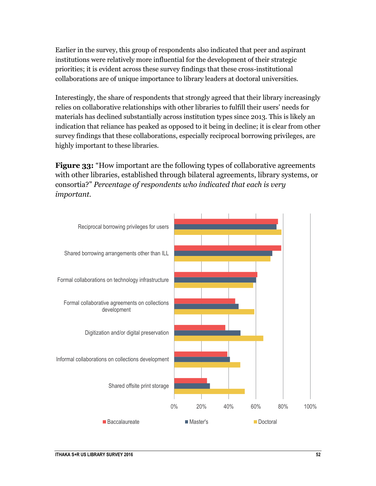Earlier in the survey, this group of respondents also indicated that peer and aspirant institutions were relatively more influential for the development of their strategic priorities; it is evident across these survey findings that these cross-institutional collaborations are of unique importance to library leaders at doctoral universities.

Interestingly, the share of respondents that strongly agreed that their library increasingly relies on collaborative relationships with other libraries to fulfill their users' needs for materials has declined substantially across institution types since 2013. This is likely an indication that reliance has peaked as opposed to it being in decline; it is clear from other survey findings that these collaborations, especially reciprocal borrowing privileges, are highly important to these libraries.

**Figure 33:** "How important are the following types of collaborative agreements with other libraries, established through bilateral agreements, library systems, or consortia?" *Percentage of respondents who indicated that each is very important.*

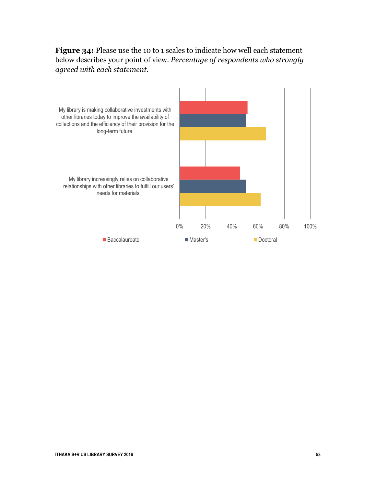#### **Figure 34:** Please use the 10 to 1 scales to indicate how well each statement below describes your point of view. *Percentage of respondents who strongly agreed with each statement.*

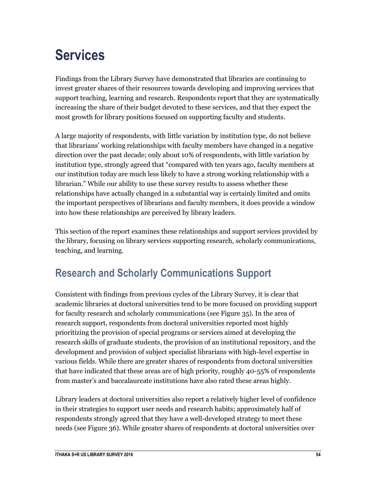## <span id="page-54-0"></span>**Services**

Findings from the Library Survey have demonstrated that libraries are continuing to invest greater shares of their resources towards developing and improving services that support teaching, learning and research. Respondents report that they are systematically increasing the share of their budget devoted to these services, and that they expect the most growth for library positions focused on supporting faculty and students.

A large majority of respondents, with little variation by institution type, do not believe that librarians' working relationships with faculty members have changed in a negative direction over the past decade; only about 10% of respondents, with little variation by institution type, strongly agreed that "compared with ten years ago, faculty members at our institution today are much less likely to have a strong working relationship with a librarian." While our ability to use these survey results to assess whether these relationships have actually changed in a substantial way is certainly limited and omits the important perspectives of librarians and faculty members, it does provide a window into how these relationships are perceived by library leaders.

This section of the report examines these relationships and support services provided by the library, focusing on library services supporting research, scholarly communications, teaching, and learning.

### **Research and Scholarly Communications Support**

Consistent with findings from previous cycles of the Library Survey, it is clear that academic libraries at doctoral universities tend to be more focused on providing support for faculty research and scholarly communications (see Figure 35). In the area of research support, respondents from doctoral universities reported most highly prioritizing the provision of special programs or services aimed at developing the research skills of graduate students, the provision of an institutional repository, and the development and provision of subject specialist librarians with high-level expertise in various fields. While there are greater shares of respondents from doctoral universities that have indicated that these areas are of high priority, roughly 40-55% of respondents from master's and baccalaureate institutions have also rated these areas highly.

Library leaders at doctoral universities also report a relatively higher level of confidence in their strategies to support user needs and research habits; approximately half of respondents strongly agreed that they have a well-developed strategy to meet these needs (see Figure 36). While greater shares of respondents at doctoral universities over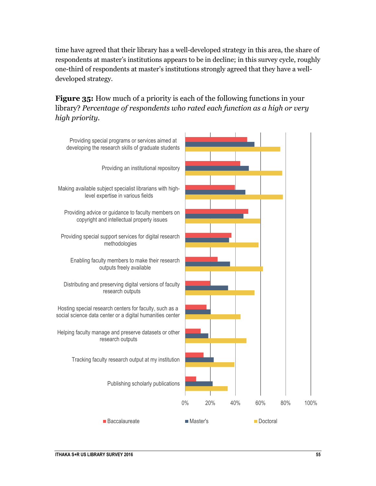time have agreed that their library has a well-developed strategy in this area, the share of respondents at master's institutions appears to be in decline; in this survey cycle, roughly one-third of respondents at master's institutions strongly agreed that they have a welldeveloped strategy.

#### **Figure 35:** How much of a priority is each of the following functions in your library? *Percentage of respondents who rated each function as a high or very high priority.*

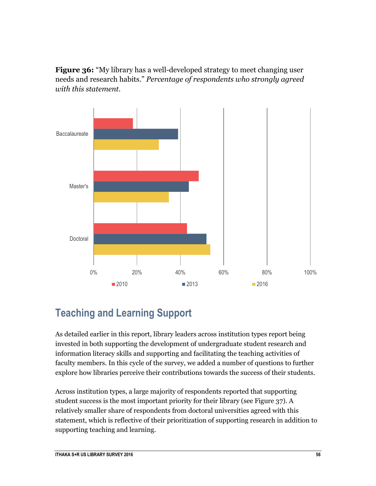**Figure 36:** "My library has a well-developed strategy to meet changing user needs and research habits." *Percentage of respondents who strongly agreed with this statement.*



### **Teaching and Learning Support**

As detailed earlier in this report, library leaders across institution types report being invested in both supporting the development of undergraduate student research and information literacy skills and supporting and facilitating the teaching activities of faculty members. In this cycle of the survey, we added a number of questions to further explore how libraries perceive their contributions towards the success of their students.

Across institution types, a large majority of respondents reported that supporting student success is the most important priority for their library (see Figure 37). A relatively smaller share of respondents from doctoral universities agreed with this statement, which is reflective of their prioritization of supporting research in addition to supporting teaching and learning.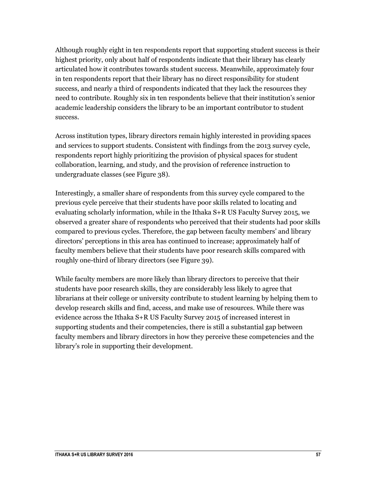Although roughly eight in ten respondents report that supporting student success is their highest priority, only about half of respondents indicate that their library has clearly articulated how it contributes towards student success. Meanwhile, approximately four in ten respondents report that their library has no direct responsibility for student success, and nearly a third of respondents indicated that they lack the resources they need to contribute. Roughly six in ten respondents believe that their institution's senior academic leadership considers the library to be an important contributor to student success.

Across institution types, library directors remain highly interested in providing spaces and services to support students. Consistent with findings from the 2013 survey cycle, respondents report highly prioritizing the provision of physical spaces for student collaboration, learning, and study, and the provision of reference instruction to undergraduate classes (see Figure 38).

Interestingly, a smaller share of respondents from this survey cycle compared to the previous cycle perceive that their students have poor skills related to locating and evaluating scholarly information, while in the Ithaka S+R US Faculty Survey 2015, we observed a greater share of respondents who perceived that their students had poor skills compared to previous cycles. Therefore, the gap between faculty members' and library directors' perceptions in this area has continued to increase; approximately half of faculty members believe that their students have poor research skills compared with roughly one-third of library directors (see Figure 39).

While faculty members are more likely than library directors to perceive that their students have poor research skills, they are considerably less likely to agree that librarians at their college or university contribute to student learning by helping them to develop research skills and find, access, and make use of resources. While there was evidence across the Ithaka S+R US Faculty Survey 2015 of increased interest in supporting students and their competencies, there is still a substantial gap between faculty members and library directors in how they perceive these competencies and the library's role in supporting their development.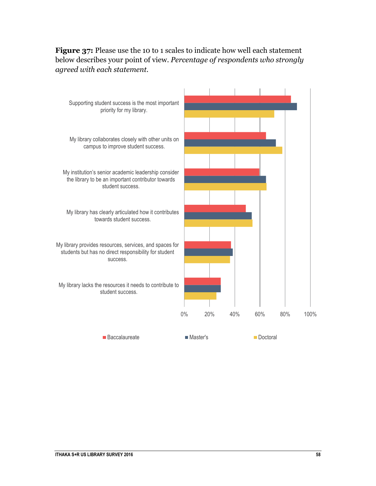

### **Figure 37:** Please use the 10 to 1 scales to indicate how well each statement below describes your point of view. *Percentage of respondents who strongly agreed with each statement.*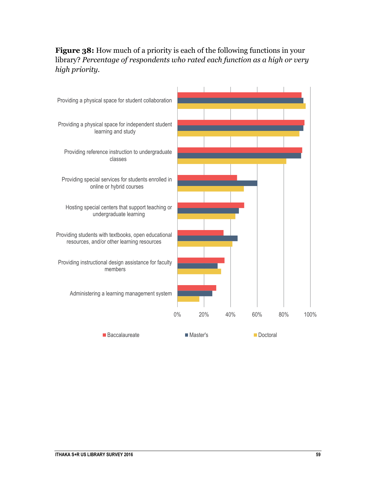#### **Figure 38:** How much of a priority is each of the following functions in your library? *Percentage of respondents who rated each function as a high or very high priority.*

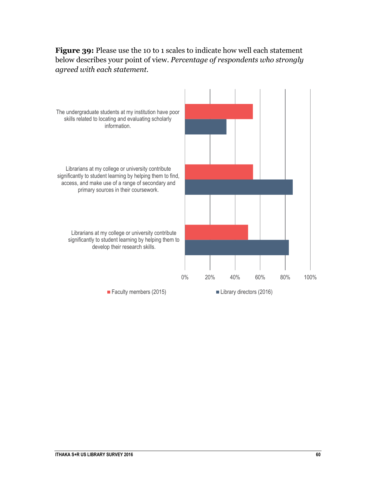#### **Figure 39:** Please use the 10 to 1 scales to indicate how well each statement below describes your point of view. *Percentage of respondents who strongly agreed with each statement.*

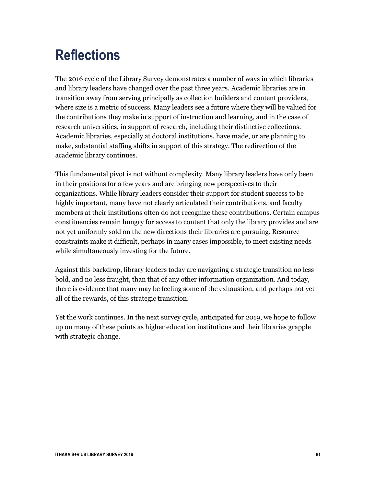## <span id="page-61-0"></span>**Reflections**

The 2016 cycle of the Library Survey demonstrates a number of ways in which libraries and library leaders have changed over the past three years. Academic libraries are in transition away from serving principally as collection builders and content providers, where size is a metric of success. Many leaders see a future where they will be valued for the contributions they make in support of instruction and learning, and in the case of research universities, in support of research, including their distinctive collections. Academic libraries, especially at doctoral institutions, have made, or are planning to make, substantial staffing shifts in support of this strategy. The redirection of the academic library continues.

This fundamental pivot is not without complexity. Many library leaders have only been in their positions for a few years and are bringing new perspectives to their organizations. While library leaders consider their support for student success to be highly important, many have not clearly articulated their contributions, and faculty members at their institutions often do not recognize these contributions. Certain campus constituencies remain hungry for access to content that only the library provides and are not yet uniformly sold on the new directions their libraries are pursuing. Resource constraints make it difficult, perhaps in many cases impossible, to meet existing needs while simultaneously investing for the future.

Against this backdrop, library leaders today are navigating a strategic transition no less bold, and no less fraught, than that of any other information organization. And today, there is evidence that many may be feeling some of the exhaustion, and perhaps not yet all of the rewards, of this strategic transition.

Yet the work continues. In the next survey cycle, anticipated for 2019, we hope to follow up on many of these points as higher education institutions and their libraries grapple with strategic change.